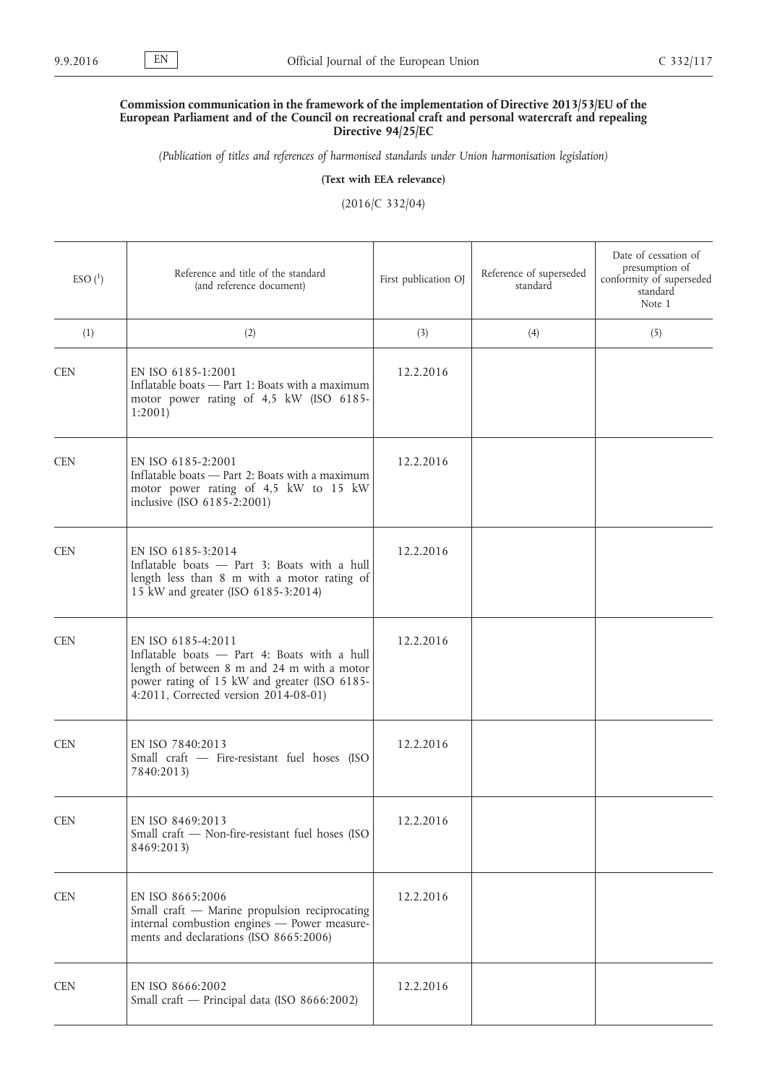## **Commission communication in the framework of the implementation of Directive 2013/53/EU of the European Parliament and of the Council on recreational craft and personal watercraft and repealing Directive 94/25/EC**

*(Publication of titles and references of harmonised standards under Union harmonisation legislation)*

**(Text with EEA relevance)**

(2016/C 332/04)

| $ESO(^{1})$ | Reference and title of the standard<br>(and reference document)                                                                                                                                            | First publication OJ | Reference of superseded<br>standard | Date of cessation of<br>presumption of<br>conformity of superseded<br>standard<br>Note 1 |
|-------------|------------------------------------------------------------------------------------------------------------------------------------------------------------------------------------------------------------|----------------------|-------------------------------------|------------------------------------------------------------------------------------------|
| (1)         | (2)                                                                                                                                                                                                        | (3)                  | (4)                                 | (5)                                                                                      |
| <b>CEN</b>  | EN ISO 6185-1:2001<br>Inflatable boats - Part 1: Boats with a maximum<br>motor power rating of 4,5 kW (ISO 6185-<br>1:2001                                                                                 | 12.2.2016            |                                     |                                                                                          |
| <b>CEN</b>  | EN ISO 6185-2:2001<br>Inflatable boats - Part 2: Boats with a maximum<br>motor power rating of 4,5 kW to 15 kW<br>inclusive (ISO 6185-2:2001)                                                              | 12.2.2016            |                                     |                                                                                          |
| <b>CEN</b>  | EN ISO 6185-3:2014<br>Inflatable boats - Part 3: Boats with a hull<br>length less than 8 m with a motor rating of<br>15 kW and greater (ISO 6185-3:2014)                                                   | 12.2.2016            |                                     |                                                                                          |
| <b>CEN</b>  | EN ISO 6185-4:2011<br>Inflatable boats - Part 4: Boats with a hull<br>length of between 8 m and 24 m with a motor<br>power rating of 15 kW and greater (ISO 6185-<br>4:2011, Corrected version 2014-08-01) | 12.2.2016            |                                     |                                                                                          |
| <b>CEN</b>  | EN ISO 7840:2013<br>Small craft - Fire-resistant fuel hoses (ISO<br>7840:2013)                                                                                                                             | 12.2.2016            |                                     |                                                                                          |
| <b>CEN</b>  | EN ISO 8469:2013<br>Small craft - Non-fire-resistant fuel hoses (ISO<br>8469:2013)                                                                                                                         | 12.2.2016            |                                     |                                                                                          |
| <b>CEN</b>  | EN ISO 8665:2006<br>Small craft - Marine propulsion reciprocating<br>internal combustion engines - Power measure-<br>ments and declarations (ISO 8665:2006)                                                | 12.2.2016            |                                     |                                                                                          |
| <b>CEN</b>  | EN ISO 8666:2002<br>Small craft - Principal data (ISO 8666:2002)                                                                                                                                           | 12.2.2016            |                                     |                                                                                          |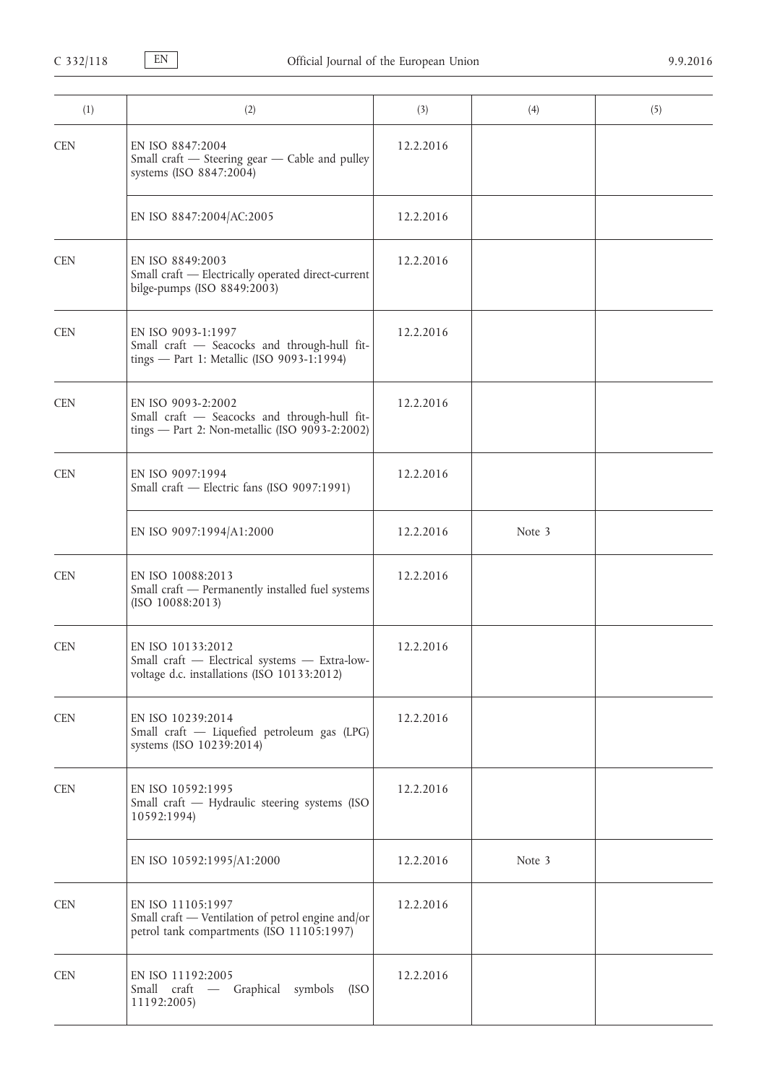| (1)        | (2)                                                                                                                  | (3)       | (4)    | (5) |
|------------|----------------------------------------------------------------------------------------------------------------------|-----------|--------|-----|
| <b>CEN</b> | EN ISO 8847:2004<br>Small craft - Steering gear - Cable and pulley<br>systems (ISO 8847:2004)                        | 12.2.2016 |        |     |
|            | EN ISO 8847:2004/AC:2005                                                                                             | 12.2.2016 |        |     |
| <b>CEN</b> | EN ISO 8849:2003<br>Small craft - Electrically operated direct-current<br>bilge-pumps (ISO 8849:2003)                | 12.2.2016 |        |     |
| <b>CEN</b> | EN ISO 9093-1:1997<br>Small craft - Seacocks and through-hull fit-<br>tings - Part 1: Metallic (ISO 9093-1:1994)     | 12.2.2016 |        |     |
| <b>CEN</b> | EN ISO 9093-2:2002<br>Small craft - Seacocks and through-hull fit-<br>tings - Part 2: Non-metallic (ISO 9093-2:2002) | 12.2.2016 |        |     |
| <b>CEN</b> | EN ISO 9097:1994<br>Small craft - Electric fans (ISO 9097:1991)                                                      | 12.2.2016 |        |     |
|            | EN ISO 9097:1994/A1:2000                                                                                             | 12.2.2016 | Note 3 |     |
| <b>CEN</b> | EN ISO 10088:2013<br>Small craft - Permanently installed fuel systems<br>(ISO 10088:2013)                            | 12.2.2016 |        |     |
| <b>CEN</b> | EN ISO 10133:2012<br>Small craft - Electrical systems - Extra-low-<br>voltage d.c. installations (ISO 10133:2012)    | 12.2.2016 |        |     |
| <b>CEN</b> | EN ISO 10239:2014<br>Small craft - Liquefied petroleum gas (LPG)<br>systems (ISO 10239:2014)                         | 12.2.2016 |        |     |
| <b>CEN</b> | EN ISO 10592:1995<br>Small craft - Hydraulic steering systems (ISO<br>10592:1994)                                    | 12.2.2016 |        |     |
|            | EN ISO 10592:1995/A1:2000                                                                                            | 12.2.2016 | Note 3 |     |
| <b>CEN</b> | EN ISO 11105:1997<br>Small craft - Ventilation of petrol engine and/or<br>petrol tank compartments (ISO 11105:1997)  | 12.2.2016 |        |     |
| <b>CEN</b> | EN ISO 11192:2005<br>Small craft — Graphical symbols<br>(ISO<br>11192:2005)                                          | 12.2.2016 |        |     |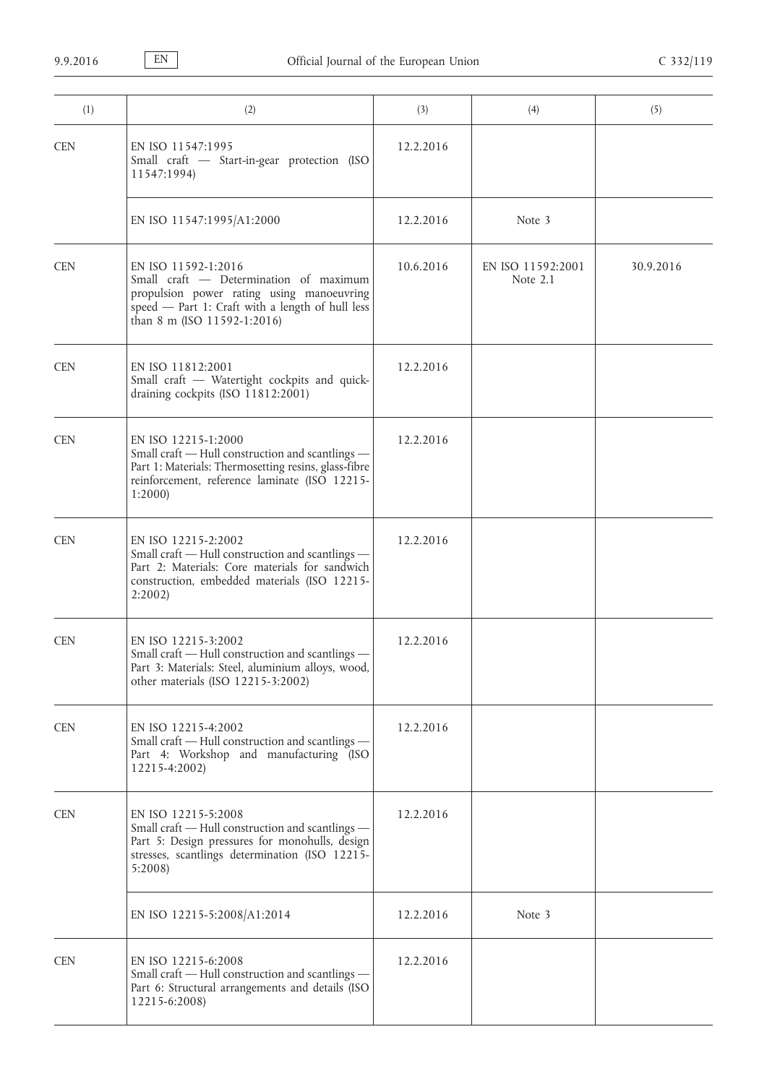| (1)        | (2)                                                                                                                                                                                           | (3)       | (4)                             | (5)       |
|------------|-----------------------------------------------------------------------------------------------------------------------------------------------------------------------------------------------|-----------|---------------------------------|-----------|
| <b>CEN</b> | EN ISO 11547:1995<br>Small craft - Start-in-gear protection (ISO<br>11547:1994)                                                                                                               | 12.2.2016 |                                 |           |
|            | EN ISO 11547:1995/A1:2000                                                                                                                                                                     | 12.2.2016 | Note 3                          |           |
| <b>CEN</b> | EN ISO 11592-1:2016<br>Small craft - Determination of maximum<br>propulsion power rating using manoeuvring<br>speed - Part 1: Craft with a length of hull less<br>than 8 m (ISO 11592-1:2016) | 10.6.2016 | EN ISO 11592:2001<br>Note $2.1$ | 30.9.2016 |
| <b>CEN</b> | EN ISO 11812:2001<br>Small craft - Watertight cockpits and quick-<br>draining cockpits (ISO 11812:2001)                                                                                       | 12.2.2016 |                                 |           |
| <b>CEN</b> | EN ISO 12215-1:2000<br>Small craft - Hull construction and scantlings -<br>Part 1: Materials: Thermosetting resins, glass-fibre<br>reinforcement, reference laminate (ISO 12215-<br>1:2000    | 12.2.2016 |                                 |           |
| <b>CEN</b> | EN ISO 12215-2:2002<br>Small craft - Hull construction and scantlings -<br>Part 2: Materials: Core materials for sandwich<br>construction, embedded materials (ISO 12215-<br>2:2002           | 12.2.2016 |                                 |           |
| <b>CEN</b> | EN ISO 12215-3:2002<br>Small craft - Hull construction and scantlings -<br>Part 3: Materials: Steel, aluminium alloys, wood,<br>other materials (ISO 12215-3:2002)                            | 12.2.2016 |                                 |           |
| <b>CEN</b> | EN ISO 12215-4:2002<br>Small craft - Hull construction and scantlings -<br>Part 4: Workshop and manufacturing (ISO<br>12215-4:2002)                                                           | 12.2.2016 |                                 |           |
| <b>CEN</b> | EN ISO 12215-5:2008<br>Small craft - Hull construction and scantlings -<br>Part 5: Design pressures for monohulls, design<br>stresses, scantlings determination (ISO 12215-<br>5:2008         | 12.2.2016 |                                 |           |
|            | EN ISO 12215-5:2008/A1:2014                                                                                                                                                                   | 12.2.2016 | Note 3                          |           |
| <b>CEN</b> | EN ISO 12215-6:2008<br>Small craft - Hull construction and scantlings -<br>Part 6: Structural arrangements and details (ISO<br>12215-6:2008)                                                  | 12.2.2016 |                                 |           |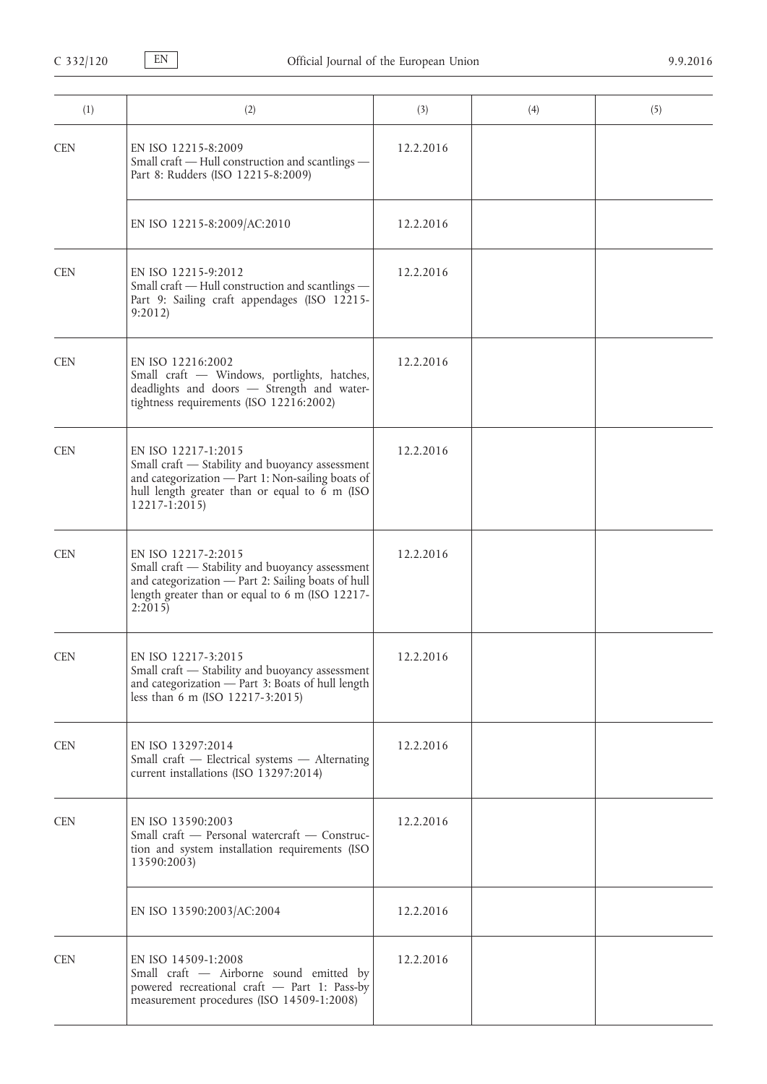| (1)        | (2)                                                                                                                                                                                           | (3)       | (4) | (5) |
|------------|-----------------------------------------------------------------------------------------------------------------------------------------------------------------------------------------------|-----------|-----|-----|
| <b>CEN</b> | EN ISO 12215-8:2009<br>Small craft - Hull construction and scantlings -<br>Part 8: Rudders (ISO 12215-8:2009)                                                                                 | 12.2.2016 |     |     |
|            | EN ISO 12215-8:2009/AC:2010                                                                                                                                                                   | 12.2.2016 |     |     |
| <b>CEN</b> | EN ISO 12215-9:2012<br>Small craft - Hull construction and scantlings -<br>Part 9: Sailing craft appendages (ISO 12215-<br>9:2012                                                             | 12.2.2016 |     |     |
| <b>CEN</b> | EN ISO 12216:2002<br>Small craft - Windows, portlights, hatches,<br>deadlights and doors - Strength and water-<br>tightness requirements (ISO 12216:2002)                                     | 12.2.2016 |     |     |
| <b>CEN</b> | EN ISO 12217-1:2015<br>Small craft - Stability and buoyancy assessment<br>and categorization - Part 1: Non-sailing boats of<br>hull length greater than or equal to 6 m (ISO<br>12217-1:2015) | 12.2.2016 |     |     |
| <b>CEN</b> | EN ISO 12217-2:2015<br>Small craft - Stability and buoyancy assessment<br>and categorization - Part 2: Sailing boats of hull<br>length greater than or equal to 6 m (ISO 12217-<br>2:2015     | 12.2.2016 |     |     |
| <b>CEN</b> | EN ISO 12217-3:2015<br>Small craft - Stability and buoyancy assessment<br>and categorization - Part 3: Boats of hull length<br>less than 6 m (ISO 12217-3:2015)                               | 12.2.2016 |     |     |
| <b>CEN</b> | EN ISO 13297:2014<br>Small craft - Electrical systems - Alternating<br>current installations (ISO 13297:2014)                                                                                 | 12.2.2016 |     |     |
| <b>CEN</b> | EN ISO 13590:2003<br>Small craft - Personal watercraft - Construc-<br>tion and system installation requirements (ISO<br>13590:2003)                                                           | 12.2.2016 |     |     |
|            | EN ISO 13590:2003/AC:2004                                                                                                                                                                     | 12.2.2016 |     |     |
| <b>CEN</b> | EN ISO 14509-1:2008<br>Small craft - Airborne sound emitted by<br>powered recreational craft - Part 1: Pass-by<br>measurement procedures (ISO 14509-1:2008)                                   | 12.2.2016 |     |     |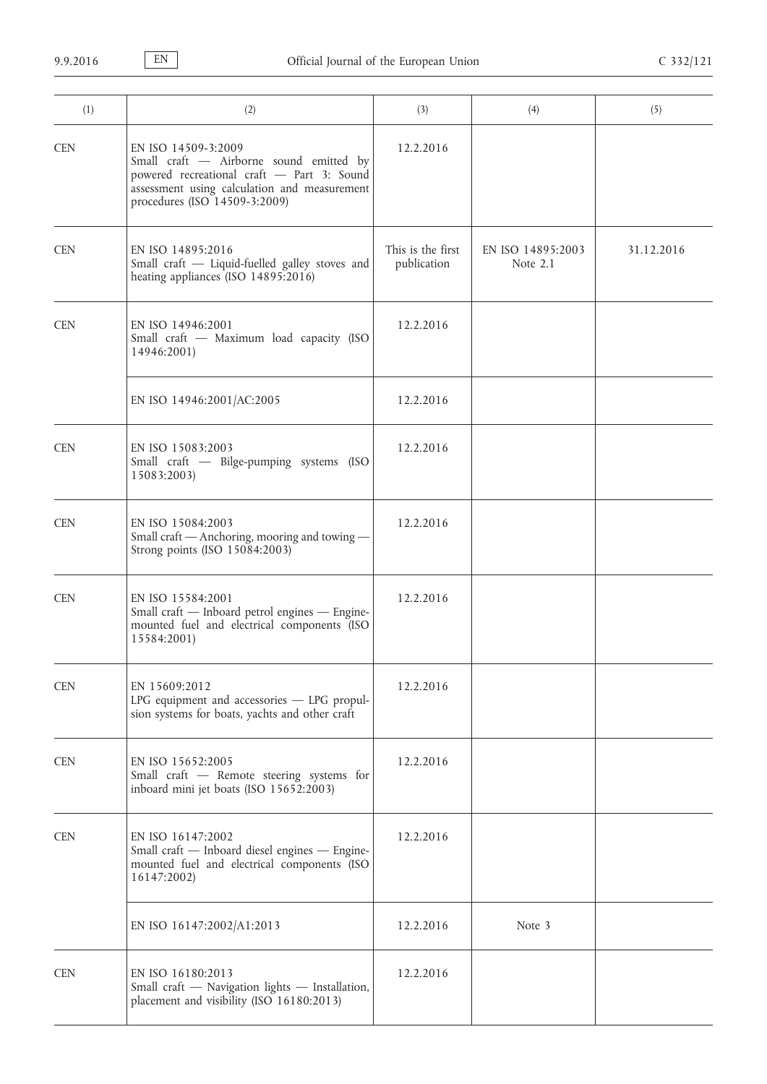| (1)        | (2)                                                                                                                                                                                           | (3)                              | (4)                             | (5)        |
|------------|-----------------------------------------------------------------------------------------------------------------------------------------------------------------------------------------------|----------------------------------|---------------------------------|------------|
| <b>CEN</b> | EN ISO 14509-3:2009<br>Small craft - Airborne sound emitted by<br>powered recreational craft - Part 3: Sound<br>assessment using calculation and measurement<br>procedures (ISO 14509-3:2009) | 12.2.2016                        |                                 |            |
| <b>CEN</b> | EN ISO 14895:2016<br>Small craft - Liquid-fuelled galley stoves and<br>heating appliances (ISO 14895:2016)                                                                                    | This is the first<br>publication | EN ISO 14895:2003<br>Note $2.1$ | 31.12.2016 |
| <b>CEN</b> | EN ISO 14946:2001<br>Small craft - Maximum load capacity (ISO<br>14946:2001)                                                                                                                  | 12.2.2016                        |                                 |            |
|            | EN ISO 14946:2001/AC:2005                                                                                                                                                                     | 12.2.2016                        |                                 |            |
| <b>CEN</b> | EN ISO 15083:2003<br>Small craft - Bilge-pumping systems (ISO<br>15083:2003)                                                                                                                  | 12.2.2016                        |                                 |            |
| <b>CEN</b> | EN ISO 15084:2003<br>Small craft - Anchoring, mooring and towing -<br>Strong points (ISO 15084:2003)                                                                                          | 12.2.2016                        |                                 |            |
| <b>CEN</b> | EN ISO 15584:2001<br>Small craft - Inboard petrol engines - Engine-<br>mounted fuel and electrical components (ISO<br>15584:2001)                                                             | 12.2.2016                        |                                 |            |
| <b>CEN</b> | EN 15609:2012<br>LPG equipment and accessories - LPG propul-<br>sion systems for boats, yachts and other craft                                                                                | 12.2.2016                        |                                 |            |
| <b>CEN</b> | EN ISO 15652:2005<br>Small craft - Remote steering systems for<br>inboard mini jet boats (ISO 15652:2003)                                                                                     | 12.2.2016                        |                                 |            |
| <b>CEN</b> | EN ISO 16147:2002<br>Small craft - Inboard diesel engines - Engine-<br>mounted fuel and electrical components (ISO<br>16147:2002)                                                             | 12.2.2016                        |                                 |            |
|            | EN ISO 16147:2002/A1:2013                                                                                                                                                                     | 12.2.2016                        | Note 3                          |            |
| <b>CEN</b> | EN ISO 16180:2013<br>Small craft - Navigation lights - Installation,<br>placement and visibility (ISO 16180:2013)                                                                             | 12.2.2016                        |                                 |            |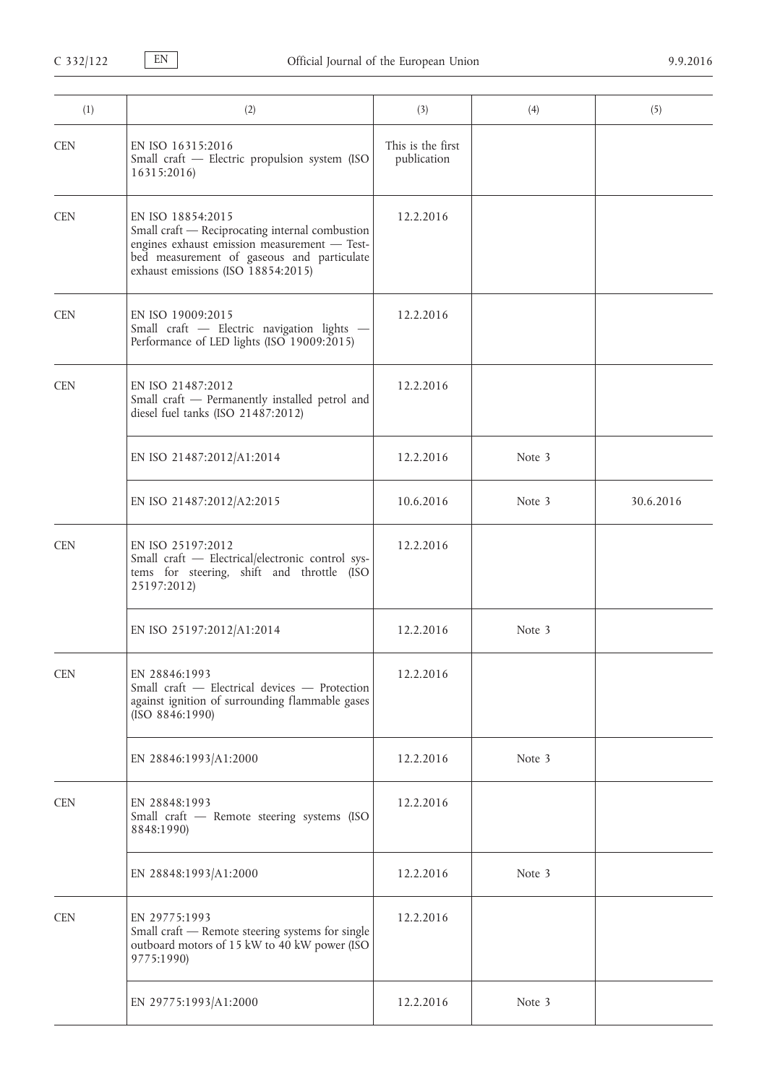| (1)        | (2)                                                                                                                                                                                                      | (3)                              | (4)    | (5)       |
|------------|----------------------------------------------------------------------------------------------------------------------------------------------------------------------------------------------------------|----------------------------------|--------|-----------|
| <b>CEN</b> | EN ISO 16315:2016<br>Small craft - Electric propulsion system (ISO<br>16315:2016)                                                                                                                        | This is the first<br>publication |        |           |
| <b>CEN</b> | EN ISO 18854:2015<br>Small craft - Reciprocating internal combustion<br>engines exhaust emission measurement - Test-<br>bed measurement of gaseous and particulate<br>exhaust emissions (ISO 18854:2015) | 12.2.2016                        |        |           |
| <b>CEN</b> | EN ISO 19009:2015<br>Small craft - Electric navigation lights -<br>Performance of LED lights (ISO 19009:2015)                                                                                            | 12.2.2016                        |        |           |
| <b>CEN</b> | EN ISO 21487:2012<br>Small craft - Permanently installed petrol and<br>diesel fuel tanks (ISO 21487:2012)                                                                                                | 12.2.2016                        |        |           |
|            | EN ISO 21487:2012/A1:2014                                                                                                                                                                                | 12.2.2016                        | Note 3 |           |
|            | EN ISO 21487:2012/A2:2015                                                                                                                                                                                | 10.6.2016                        | Note 3 | 30.6.2016 |
| <b>CEN</b> | EN ISO 25197:2012<br>Small craft - Electrical/electronic control sys-<br>tems for steering, shift and throttle (ISO<br>25197:2012)                                                                       | 12.2.2016                        |        |           |
|            | EN ISO 25197:2012/A1:2014                                                                                                                                                                                | 12.2.2016                        | Note 3 |           |
| <b>CEN</b> | EN 28846:1993<br>Small craft - Electrical devices - Protection<br>against ignition of surrounding flammable gases<br>(ISO 8846:1990)                                                                     | 12.2.2016                        |        |           |
|            | EN 28846:1993/A1:2000                                                                                                                                                                                    | 12.2.2016                        | Note 3 |           |
| <b>CEN</b> | EN 28848:1993<br>Small craft - Remote steering systems (ISO<br>8848:1990)                                                                                                                                | 12.2.2016                        |        |           |
|            | EN 28848:1993/A1:2000                                                                                                                                                                                    | 12.2.2016                        | Note 3 |           |
| <b>CEN</b> | EN 29775:1993<br>Small craft - Remote steering systems for single<br>outboard motors of 15 kW to 40 kW power (ISO<br>9775:1990)                                                                          | 12.2.2016                        |        |           |
|            | EN 29775:1993/A1:2000                                                                                                                                                                                    | 12.2.2016                        | Note 3 |           |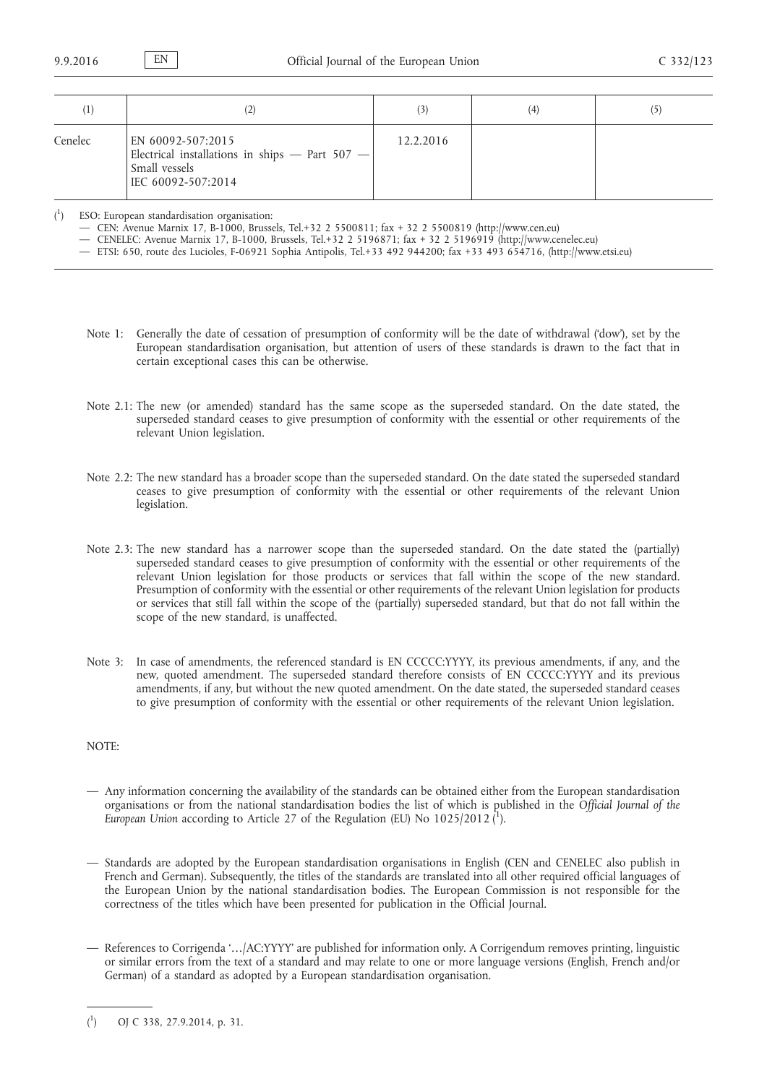| $\left(1\right)$ | (2)                                                                                                        | (3)       | (4) | (5) |
|------------------|------------------------------------------------------------------------------------------------------------|-----------|-----|-----|
| Cenelec          | EN 60092-507:2015<br>Electrical installations in ships - Part 507 -<br>Small vessels<br>IEC 60092-507:2014 | 12.2.2016 |     |     |

 $\binom{1}{1}$ ) ESO: European standardisation organisation:

— CEN: Avenue Marnix 17, B-1000, Brussels, Tel.+32 2 5500811; fax + 32 2 5500819 [\(http://www.cen.eu\)](http://www.cen.eu)

— CENELEC: Avenue Marnix 17, B-1000, Brussels, Tel.+32 2 5196871; fax + 32 2 5196919 ([http://www.cenelec.eu\)](http://www.cenelec.eu)

— ETSI: 650, route des Lucioles, F-06921 Sophia Antipolis, Tel.+33 492 944200; fax +33 493 654716, ([http://www.etsi.eu\)](http://www.etsi.eu)

- Note 1: Generally the date of cessation of presumption of conformity will be the date of withdrawal ('dow'), set by the European standardisation organisation, but attention of users of these standards is drawn to the fact that in certain exceptional cases this can be otherwise.
- Note 2.1: The new (or amended) standard has the same scope as the superseded standard. On the date stated, the superseded standard ceases to give presumption of conformity with the essential or other requirements of the relevant Union legislation.
- Note 2.2: The new standard has a broader scope than the superseded standard. On the date stated the superseded standard ceases to give presumption of conformity with the essential or other requirements of the relevant Union legislation.
- Note 2.3: The new standard has a narrower scope than the superseded standard. On the date stated the (partially) superseded standard ceases to give presumption of conformity with the essential or other requirements of the relevant Union legislation for those products or services that fall within the scope of the new standard. Presumption of conformity with the essential or other requirements of the relevant Union legislation for products or services that still fall within the scope of the (partially) superseded standard, but that do not fall within the scope of the new standard, is unaffected.
- Note 3: In case of amendments, the referenced standard is EN CCCCC:YYYY, its previous amendments, if any, and the new, quoted amendment. The superseded standard therefore consists of EN CCCCC:YYYY and its previous amendments, if any, but without the new quoted amendment. On the date stated, the superseded standard ceases to give presumption of conformity with the essential or other requirements of the relevant Union legislation.

## NOTE:

- Any information concerning the availability of the standards can be obtained either from the European standardisation organisations or from the national standardisation bodies the list of which is published in the *Official Journal of the*  European Union according to Article 27 of the Regulation (EU) No 1025/2012 (<sup>1</sup>).
- Standards are adopted by the European standardisation organisations in English (CEN and CENELEC also publish in French and German). Subsequently, the titles of the standards are translated into all other required official languages of the European Union by the national standardisation bodies. The European Commission is not responsible for the correctness of the titles which have been presented for publication in the Official Journal.
- References to Corrigenda '…/AC:YYYY' are published for information only. A Corrigendum removes printing, linguistic or similar errors from the text of a standard and may relate to one or more language versions (English, French and/or German) of a standard as adopted by a European standardisation organisation.

 $($ <sup>1</sup> ) OJ C 338, 27.9.2014, p. 31.